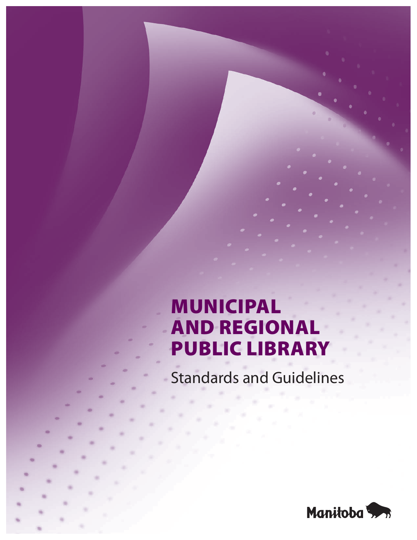# Municipal and Regional Public Library

Standards and Guidelines

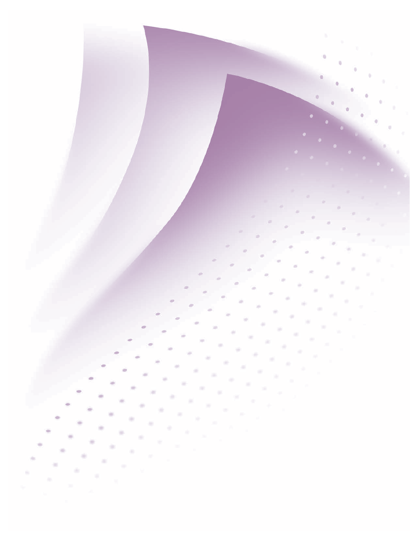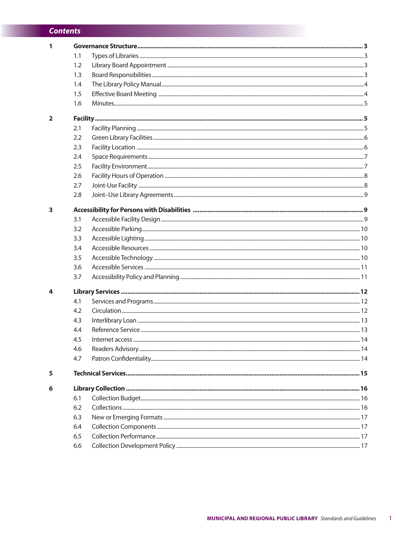# **Contents**

| 1              |     |  |  |  |  |
|----------------|-----|--|--|--|--|
|                | 1.1 |  |  |  |  |
|                | 1.2 |  |  |  |  |
|                | 1.3 |  |  |  |  |
|                | 1.4 |  |  |  |  |
|                | 1.5 |  |  |  |  |
|                | 1.6 |  |  |  |  |
| $\overline{2}$ |     |  |  |  |  |
|                | 2.1 |  |  |  |  |
|                | 2.2 |  |  |  |  |
|                | 2.3 |  |  |  |  |
|                | 2.4 |  |  |  |  |
|                | 2.5 |  |  |  |  |
|                | 2.6 |  |  |  |  |
|                | 2.7 |  |  |  |  |
|                | 2.8 |  |  |  |  |
| 3              |     |  |  |  |  |
|                | 3.1 |  |  |  |  |
|                | 3.2 |  |  |  |  |
|                | 3.3 |  |  |  |  |
|                | 3.4 |  |  |  |  |
|                | 3.5 |  |  |  |  |
|                | 3.6 |  |  |  |  |
|                | 3.7 |  |  |  |  |
| 4              |     |  |  |  |  |
|                | 4.1 |  |  |  |  |
|                | 4.2 |  |  |  |  |
|                | 4.3 |  |  |  |  |
|                | 4.4 |  |  |  |  |
|                | 4.5 |  |  |  |  |
|                | 4.6 |  |  |  |  |
|                | 4.7 |  |  |  |  |
| 5              |     |  |  |  |  |
| 6              |     |  |  |  |  |
|                | 6.1 |  |  |  |  |
|                | 6.2 |  |  |  |  |
|                | 6.3 |  |  |  |  |
|                | 6.4 |  |  |  |  |
|                | 6.5 |  |  |  |  |
|                | 6.6 |  |  |  |  |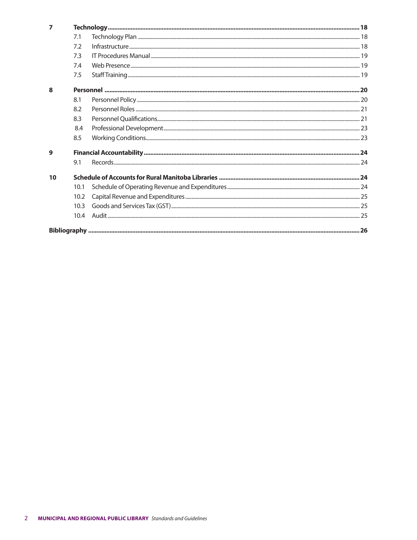| 7            |      |  |
|--------------|------|--|
|              |      |  |
|              | 7.2  |  |
|              | 7.3  |  |
|              | 7.4  |  |
|              | 7.5  |  |
| $\mathbf{a}$ |      |  |
|              | 8.1  |  |
|              | 8.2  |  |
|              | 8.3  |  |
|              | 8.4  |  |
|              | 8.5  |  |
| $\mathbf{Q}$ |      |  |
|              | 9.1  |  |
| 10           |      |  |
|              | 10.1 |  |
|              | 10.2 |  |
|              | 10.3 |  |
|              | 10.4 |  |
|              |      |  |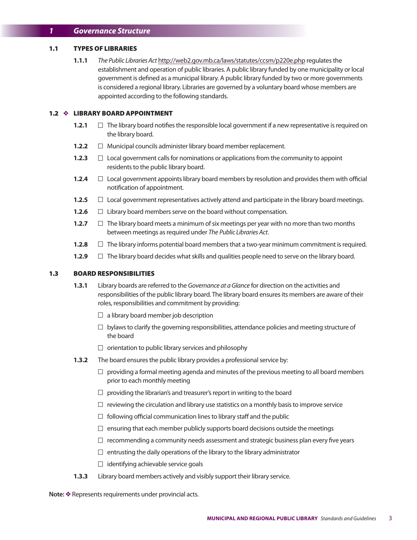# <span id="page-4-0"></span>1.1 Types of Libraries

**1.1.1** *The Public Libraries Act* <http://web2.gov.mb.ca/laws/statutes/ccsm/p220e.php> regulates the establishment and operation of public libraries. A public library funded by one municipality or local government is defined as a municipal library. A public library funded by two or more governments is considered a regional library. Libraries are governed by a voluntary board whose members are appointed according to the following standards.

# 1.2  $\div$  LIBRARY BOARD APPOINTMENT

- **1.2.1**  $\Box$  The library board notifies the responsible local government if a new representative is required on the library board.
- 1.2.2  $\Box$  Municipal councils administer library board member replacement.
- **1.2.3**  $\Box$  Local government calls for nominations or applications from the community to appoint residents to the public library board.
- **1.2.4**  $\Box$  Local government appoints library board members by resolution and provides them with official notification of appointment.
- **1.2.5**  $\Box$  Local government representatives actively attend and participate in the library board meetings.
- **1.2.6**  $\Box$  Library board members serve on the board without compensation.
- **1.2.7**  $\Box$  The library board meets a minimum of six meetings per year with no more than two months between meetings as required under *The Public Libraries Act*.
- **1.2.8**  $\Box$  The library informs potential board members that a two-year minimum commitment is required.
- **1.2.9**  $\Box$  The library board decides what skills and qualities people need to serve on the library board.

#### 1.3 Board Responsibilities

- **1.3.1** Library boards are referred to the *Governance at a Glance* for direction on the activities and responsibilities of the public library board. The library board ensures its members are aware of their roles, responsibilities and commitment by providing:
	- $\Box$  a library board member job description
	- $\square$  bylaws to clarify the governing responsibilities, attendance policies and meeting structure of the board
	- $\Box$  orientation to public library services and philosophy
- **1.3.2** The board ensures the public library provides a professional service by:
	- $\square$  providing a formal meeting agenda and minutes of the previous meeting to all board members prior to each monthly meeting
	- $\Box$  providing the librarian's and treasurer's report in writing to the board
	- $\Box$  reviewing the circulation and library use statistics on a monthly basis to improve service
	- $\Box$  following official communication lines to library staff and the public
	- $\Box$  ensuring that each member publicly supports board decisions outside the meetings
	- $\Box$  recommending a community needs assessment and strategic business plan every five years
	- $\Box$  entrusting the daily operations of the library to the library administrator
	- $\Box$  identifying achievable service goals
- **1.3.3** Library board members actively and visibly support their library service.

**Note:** ❖ Represents requirements under provincial acts.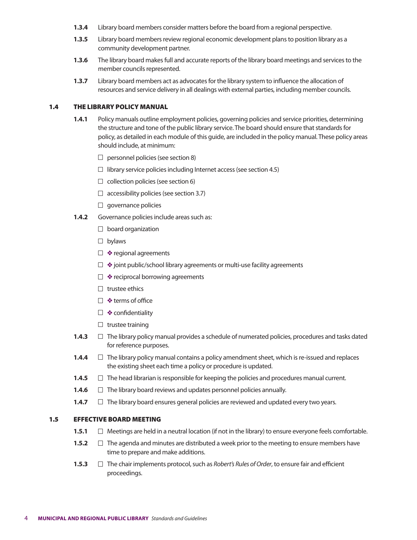- <span id="page-5-0"></span>**1.3.4** Library board members consider matters before the board from a regional perspective.
- **1.3.5** Library board members review regional economic development plans to position library as a community development partner.
- **1.3.6** The library board makes full and accurate reports of the library board meetings and services to the member councils represented.
- **1.3.7** Library board members act as advocates for the library system to influence the allocation of resources and service delivery in all dealings with external parties, including member councils.

# 1.4 The Library Policy Manual

- **1.4.1** Policy manuals outline employment policies, governing policies and service priorities, determining the structure and tone of the public library service. The board should ensure that standards for policy, as detailed in each module of this guide, are included in the policy manual. These policy areas should include, at minimum:
	- $\Box$  personnel policies (see section 8)
	- $\Box$  library service policies including Internet access (see section 4.5)
	- $\Box$  collection policies (see section 6)
	- $\Box$  accessibility policies (see section 3.7)
	- $\Box$  governance policies
- **1.4.2** Governance policies include areas such as:
	- $\Box$  board organization
	- $\Box$  bylaws
	- $\square$   $\blacklozenge$  regional agreements
	- $□$  ❖ joint public/school library agreements or multi-use facility agreements
	- $\Box$   $\bullet$  reciprocal borrowing agreements
	- $\Box$  trustee ethics
	- $□$  ❖ terms of office
	- $\square$   $\bullet$  confidentiality
	- $\Box$  trustee training
- 1.4.3  $\square$  The library policy manual provides a schedule of numerated policies, procedures and tasks dated for reference purposes.
- **1.4.4**  $\Box$  The library policy manual contains a policy amendment sheet, which is re-issued and replaces the existing sheet each time a policy or procedure is updated.
- **1.4.5**  $\Box$  The head librarian is responsible for keeping the policies and procedures manual current.
- **1.4.6**  $\Box$  The library board reviews and updates personnel policies annually.
- **1.4.7**  $\Box$  The library board ensures general policies are reviewed and updated every two years.

# 1.5 Effective Board Meeting

- **1.5.1**  $\Box$  Meetings are held in a neutral location (if not in the library) to ensure everyone feels comfortable.
- **1.5.2**  $\Box$  The agenda and minutes are distributed a week prior to the meeting to ensure members have time to prepare and make additions.
- **1.5.3** The chair implements protocol, such as *Robert's Rules of Order*, to ensure fair and efficient proceedings.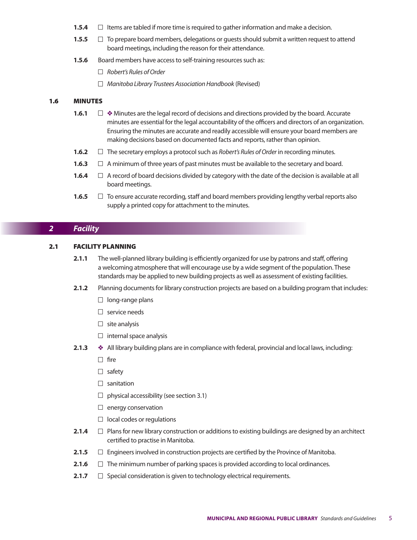- <span id="page-6-0"></span>**1.5.4** Ifems are tabled if more time is required to gather information and make a decision.
- **1.5.5**  $\Box$  To prepare board members, delegations or quests should submit a written request to attend board meetings, including the reason for their attendance.
- **1.5.6** Board members have access to self-training resources such as:
	- *Robert's Rules of Order*
	- *Manitoba Library Trustees Association Handbook* (Revised)

# 1.6 Minutes

- **1.6.1** □ ◆ Minutes are the legal record of decisions and directions provided by the board. Accurate minutes are essential for the legal accountability of the officers and directors of an organization. Ensuring the minutes are accurate and readily accessible will ensure your board members are making decisions based on documented facts and reports, rather than opinion.
- **1.6.2** The secretary employs a protocol such as *Robert's Rules of Order* in recording minutes.
- **1.6.3**  $\Box$  A minimum of three years of past minutes must be available to the secretary and board.
- 1.6.4  $\Box$  A record of board decisions divided by category with the date of the decision is available at all board meetings.
- **1.6.5**  $\Box$  To ensure accurate recording, staff and board members providing lengthy verbal reports also supply a printed copy for attachment to the minutes.

# *2 Facility*

# 2.1 Facility Planning

- **2.1.1** The well-planned library building is efficiently organized for use by patrons and staff, offering a welcoming atmosphere that will encourage use by a wide segment of the population. These standards may be applied to new building projects as well as assessment of existing facilities.
- **2.1.2** Planning documents for library construction projects are based on a building program that includes:
	- $\Box$  long-range plans
	- $\square$  service needs
	- $\Box$  site analysis
	- $\Box$  internal space analysis
- **2.1.3**  $\cdot\cdot\cdot$  All library building plans are in compliance with federal, provincial and local laws, including:
	- $\Box$  fire
	- $\Box$  safety
	- $\Box$  sanitation
	- $\Box$  physical accessibility (see section 3.1)
	- $\Box$  energy conservation
	- $\Box$  local codes or regulations
- **2.1.4**  $\Box$  Plans for new library construction or additions to existing buildings are designed by an architect certified to practise in Manitoba.
- **2.1.5**  $\Box$  Engineers involved in construction projects are certified by the Province of Manitoba.
- **2.1.6**  $\Box$  The minimum number of parking spaces is provided according to local ordinances.
- **2.1.7**  $\square$  Special consideration is given to technology electrical requirements.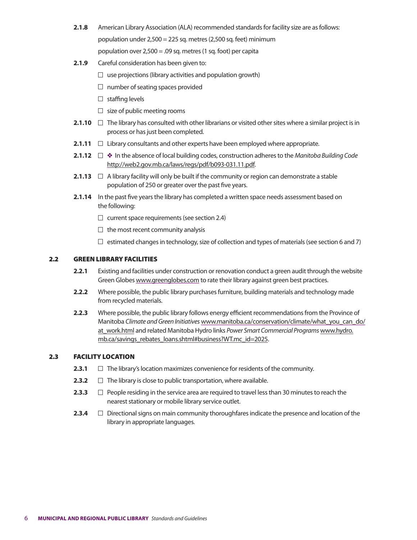- <span id="page-7-0"></span>**2.1.8** American Library Association (ALA) recommended standards for facility size are as follows: population under 2,500 = 225 sq. metres (2,500 sq. feet) minimum population over 2,500 = .09 sq. metres (1 sq. foot) per capita
- **2.1.9** Careful consideration has been given to:
	- $\Box$  use projections (library activities and population growth)
	- $\Box$  number of seating spaces provided
	- $\Box$  staffing levels
	- $\Box$  size of public meeting rooms
- **2.1.10** □ The library has consulted with other librarians or visited other sites where a similar project is in process or has just been completed.
- **2.1.11**  $\Box$  Library consultants and other experts have been employed where appropriate.
- **2.1.12** ❖ In the absence of local building codes, construction adheres to the *Manitoba Building Code*  [http://web2.gov.mb.ca/laws/regs/pdf/b093-031.11.pdf.](http://web2.gov.mb.ca/laws/regs/pdf/b093-031.11.pdf)
- **2.1.13**  $\Box$  A library facility will only be built if the community or region can demonstrate a stable population of 250 or greater over the past five years.
- **2.1.14** In the past five years the library has completed a written space needs assessment based on the following:
	- $\Box$  current space requirements (see section 2.4)
	- $\Box$  the most recent community analysis
	- $\Box$  estimated changes in technology, size of collection and types of materials (see section 6 and 7)

# 2.2 Green Library Facilities

- **2.2.1** Existing and facilities under construction or renovation conduct a green audit through the website Green Globes [www.greenglobes.com](http://www.greenglobes.com) to rate their library against green best practices.
- **2.2.2** Where possible, the public library purchases furniture, building materials and technology made from recycled materials.
- **2.2.3** Where possible, the public library follows energy efficient recommendations from the Province of Manitoba *Climate and Green Initiatives* [www.manitoba.ca/conservation/climate/what\\_you\\_can\\_do/](http://www.manitoba.ca/conservation/climate/what_you_can_do/at_work.html) [at\\_work.html](http://www.manitoba.ca/conservation/climate/what_you_can_do/at_work.html) and related Manitoba Hydro links *Power Smart Commercial Programs* [www.hydro.](http://www.hydro.mb.ca/savings_rebates_loans.shtml#business?WT.mc_id=2025) [mb.ca/savings\\_rebates\\_loans.shtml#business?WT.mc\\_id=2025](http://www.hydro.mb.ca/savings_rebates_loans.shtml#business?WT.mc_id=2025).

# 2.3 Facility Location

- **2.3.1**  $\square$  The library's location maximizes convenience for residents of the community.
- **2.3.2** □ The library is close to public transportation, where available.
- **2.3.3**  $\Box$  People residing in the service area are required to travel less than 30 minutes to reach the nearest stationary or mobile library service outlet.
- **2.3.4** □ Directional signs on main community thoroughfares indicate the presence and location of the library in appropriate languages.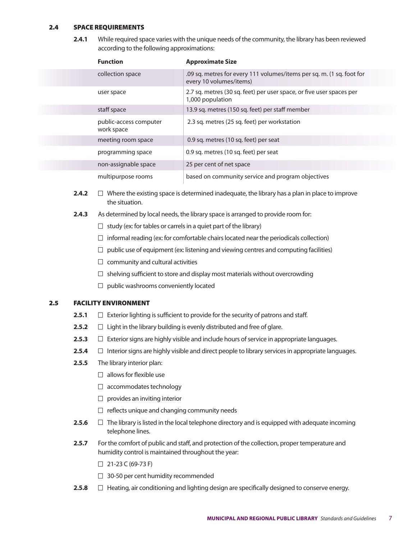#### <span id="page-8-0"></span>2.4 Space Requirements

**2.4.1** While required space varies with the unique needs of the community, the library has been reviewed according to the following approximations:

| <b>Function</b>                      | <b>Approximate Size</b>                                                                          |
|--------------------------------------|--------------------------------------------------------------------------------------------------|
| collection space                     | .09 sq. metres for every 111 volumes/items per sq. m. (1 sq. foot for<br>every 10 volumes/items) |
| user space                           | 2.7 sq. metres (30 sq. feet) per user space, or five user spaces per<br>1,000 population         |
| staff space                          | 13.9 sq. metres (150 sq. feet) per staff member                                                  |
| public-access computer<br>work space | 2.3 sq. metres (25 sq. feet) per workstation                                                     |
| meeting room space                   | 0.9 sq. metres (10 sq. feet) per seat                                                            |
| programming space                    | 0.9 sq. metres (10 sq. feet) per seat                                                            |
| non-assignable space                 | 25 per cent of net space                                                                         |
| multipurpose rooms                   | based on community service and program objectives                                                |

- **2.4.2**  $\Box$  Where the existing space is determined inadequate, the library has a plan in place to improve the situation.
- **2.4.3** As determined by local needs, the library space is arranged to provide room for:
	- $\Box$  study (ex: for tables or carrels in a quiet part of the library)
	- $\Box$  informal reading (ex: for comfortable chairs located near the periodicals collection)
	- $\Box$  public use of equipment (ex: listening and viewing centres and computing facilities)
	- $\Box$  community and cultural activities
	- $\Box$  shelving sufficient to store and display most materials without overcrowding
	- $\Box$  public washrooms conveniently located

#### 2.5 Facility Environment

- **2.5.1** □ Exterior lighting is sufficient to provide for the security of patrons and staff.
- **2.5.2** □ Light in the library building is evenly distributed and free of glare.
- **2.5.3**  $\Box$  Exterior signs are highly visible and include hours of service in appropriate languages.
- **2.5.4**  $\Box$  Interior signs are highly visible and direct people to library services in appropriate languages.
- **2.5.5** The library interior plan:
	- $\Box$  allows for flexible use
	- $\Box$  accommodates technology
	- $\Box$  provides an inviting interior
	- $\Box$  reflects unique and changing community needs
- **2.5.6**  $\Box$  The library is listed in the local telephone directory and is equipped with adequate incoming telephone lines.
- **2.5.7** For the comfort of public and staff, and protection of the collection, proper temperature and humidity control is maintained throughout the year:
	- $\Box$  21-23 C (69-73 F)
	- $\Box$  30-50 per cent humidity recommended
- **2.5.8**  $\Box$  Heating, air conditioning and lighting design are specifically designed to conserve energy.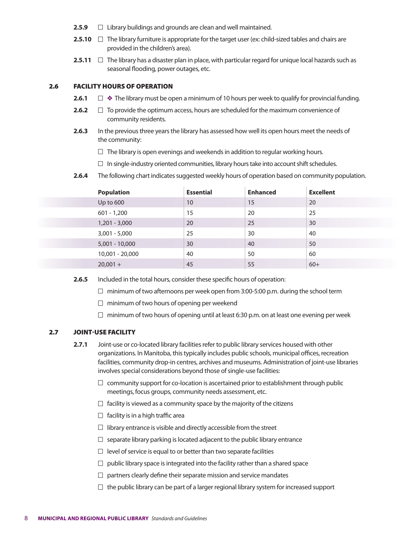- <span id="page-9-0"></span>**2.5.9** □ Library buildings and grounds are clean and well maintained.
- **2.5.10**  $\Box$  The library furniture is appropriate for the target user (ex: child-sized tables and chairs are provided in the children's area).
- **2.5.11**  $\Box$  The library has a disaster plan in place, with particular regard for unique local hazards such as seasonal flooding, power outages, etc.

# 2.6 Facility Hours of Operation

- **2.6.1** □ ◆ The library must be open a minimum of 10 hours per week to qualify for provincial funding.
- **2.6.2**  $\Box$  To provide the optimum access, hours are scheduled for the maximum convenience of community residents.
- **2.6.3** In the previous three years the library has assessed how well its open hours meet the needs of the community:
	- $\Box$  The library is open evenings and weekends in addition to regular working hours.
	- $\Box$  In single-industry oriented communities, library hours take into account shift schedules.
- **2.6.4** The following chart indicates suggested weekly hours of operation based on community population.

| <b>Population</b> | <b>Essential</b> | <b>Enhanced</b> | <b>Excellent</b> |
|-------------------|------------------|-----------------|------------------|
| Up to 600         | 10               | 15              | 20               |
| $601 - 1,200$     | 15               | 20              | 25               |
| $1,201 - 3,000$   | 20               | 25              | 30               |
| $3,001 - 5,000$   | 25               | 30              | 40               |
| $5,001 - 10,000$  | 30               | 40              | 50               |
| 10,001 - 20,000   | 40               | 50              | 60               |
| $20,001 +$        | 45               | 55              | $60+$            |

**2.6.5** Included in the total hours, consider these specific hours of operation:

 $\Box$  minimum of two afternoons per week open from 3:00-5:00 p.m. during the school term

- $\Box$  minimum of two hours of opening per weekend
- $\Box$  minimum of two hours of opening until at least 6:30 p.m. on at least one evening per week

#### 2.7 Joint-Use Facility

- **2.7.1** Joint-use or co-located library facilities refer to public library services housed with other organizations. In Manitoba, this typically includes public schools, municipal offices, recreation facilities, community drop-in centres, archives and museums. Administration of joint-use libraries involves special considerations beyond those of single-use facilities:
	- $\Box$  community support for co-location is ascertained prior to establishment through public meetings, focus groups, community needs assessment, etc.
	- $\Box$  facility is viewed as a community space by the majority of the citizens
	- $\Box$  facility is in a high traffic area
	- $\Box$  library entrance is visible and directly accessible from the street
	- $\Box$  separate library parking is located adjacent to the public library entrance
	- $\Box$  level of service is equal to or better than two separate facilities
	- $\Box$  public library space is integrated into the facility rather than a shared space
	- $\Box$  partners clearly define their separate mission and service mandates
	- $\Box$  the public library can be part of a larger regional library system for increased support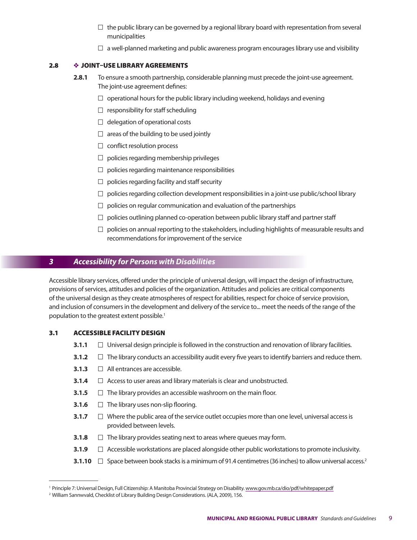- $\Box$  the public library can be governed by a regional library board with representation from several municipalities
- $\Box$  a well-planned marketing and public awareness program encourages library use and visibility

# <span id="page-10-0"></span>2.8 ❖ Joint–Use Library Agreements

- **2.8.1** To ensure a smooth partnership, considerable planning must precede the joint-use agreement. The joint-use agreement defines:
	- $\Box$  operational hours for the public library including weekend, holidays and evening
	- $\Box$  responsibility for staff scheduling
	- $\Box$  delegation of operational costs
	- $\Box$  areas of the building to be used jointly
	- $\Box$  conflict resolution process
	- $\Box$  policies regarding membership privileges
	- $\Box$  policies regarding maintenance responsibilities
	- $\Box$  policies regarding facility and staff security
	- $\Box$  policies regarding collection development responsibilities in a joint-use public/school library
	- $\Box$  policies on regular communication and evaluation of the partnerships
	- $\Box$  policies outlining planned co-operation between public library staff and partner staff
	- $\Box$  policies on annual reporting to the stakeholders, including highlights of measurable results and recommendations for improvement of the service

# *3 Accessibility for Persons with Disabilities*

Accessible library services, offered under the principle of universal design, will impact the design of infrastructure, provisions of services, attitudes and policies of the organization. Attitudes and policies are critical components of the universal design as they create atmospheres of respect for abilities, respect for choice of service provision, and inclusion of consumers in the development and delivery of the service to... meet the needs of the range of the population to the greatest extent possible.<sup>1</sup>

# 3.1 Accessible Facility Design

- **3.1.1**  $\Box$  Universal design principle is followed in the construction and renovation of library facilities.
- **3.1.2**  $\Box$  The library conducts an accessibility audit every five years to identify barriers and reduce them.
- **3.1.3** □ All entrances are accessible.
- **3.1.4**  $\Box$  Access to user areas and library materials is clear and unobstructed.
- **3.1.5**  $\Box$  The library provides an accessible washroom on the main floor.
- **3.1.6** □ The library uses non-slip flooring.
- **3.1.7**  $\Box$  Where the public area of the service outlet occupies more than one level, universal access is provided between levels.
- **3.1.8**  $\Box$  The library provides seating next to areas where queues may form.
- **3.1.9**  $\Box$  Accessible workstations are placed alongside other public workstations to promote inclusivity.
- **3.1.10**  $\Box$  Space between book stacks is a minimum of 91.4 centimetres (36 inches) to allow universal access.<sup>2</sup>

<sup>1</sup> Principle 7: Universal Design, Full Citizenship: A Manitoba Provincial Strategy on Disability. [www.gov.mb.ca/dio/pdf/whitepaper.pdf](http://www.gov.mb.ca/dio/pdf/whitepaper.pdf)

<sup>&</sup>lt;sup>2</sup> William Sannwvald, Checklist of Library Building Design Considerations. (ALA, 2009), 156.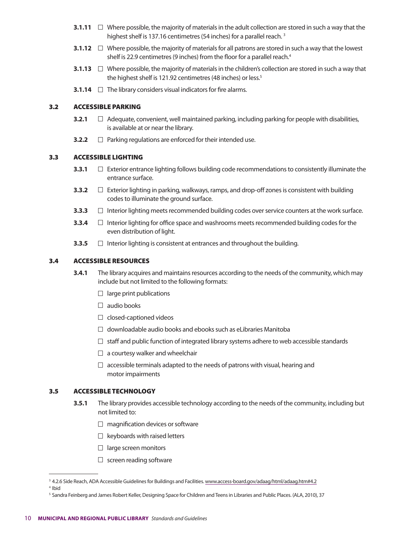- <span id="page-11-0"></span>**3.1.11**  $\Box$  Where possible, the majority of materials in the adult collection are stored in such a way that the highest shelf is 137.16 centimetres (54 inches) for a parallel reach.<sup>3</sup>
- **3.1.12**  $\Box$  Where possible, the majority of materials for all patrons are stored in such a way that the lowest shelf is 22.9 centimetres (9 inches) from the floor for a parallel reach.<sup>4</sup>
- **3.1.13** Where possible, the majority of materials in the children's collection are stored in such a way that the highest shelf is 121.92 centimetres (48 inches) or less.<sup>5</sup>
- **3.1.14** □ The library considers visual indicators for fire alarms.

## 3.2 Accessible Parking

- **3.2.1**  $\Box$  Adequate, convenient, well maintained parking, including parking for people with disabilities, is available at or near the library.
- **3.2.2**  $\Box$  Parking regulations are enforced for their intended use.

# 3.3 Accessible Lighting

- **3.3.1**  $\Box$  Exterior entrance lighting follows building code recommendations to consistently illuminate the entrance surface.
- **3.3.2**  $\Box$  Exterior lighting in parking, walkways, ramps, and drop-off zones is consistent with building codes to illuminate the ground surface.
- **3.3.3** Interior lighting meets recommended building codes over service counters at the work surface.
- **3.3.4** Interior lighting for office space and washrooms meets recommended building codes for the even distribution of light.
- **3.3.5** Interior lighting is consistent at entrances and throughout the building.

#### 3.4 Accessible Resources

- **3.4.1** The library acquires and maintains resources according to the needs of the community, which may include but not limited to the following formats:
	- $\Box$  large print publications
	- $\Box$  audio books
	- $\Box$  closed-captioned videos
	- $\Box$  downloadable audio books and ebooks such as eLibraries Manitoba
	- $\Box$  staff and public function of integrated library systems adhere to web accessible standards
	- $\Box$  a courtesy walker and wheelchair
	- $\Box$  accessible terminals adapted to the needs of patrons with visual, hearing and motor impairments

## 3.5 Accessible Technology

- **3.5.1** The library provides accessible technology according to the needs of the community, including but not limited to:
	- $\Box$  magnification devices or software
	- $\Box$  keyboards with raised letters
	- $\Box$  large screen monitors
	- $\Box$  screen reading software

<sup>&</sup>lt;sup>3</sup> 4.2.6 Side Reach, ADA Accessible Guidelines for Buildings and Facilities. [www.access-board.gov/adaag/html/adaag.htm#4.2](http://www.access-board.gov/adaag/html/adaag.htm#4.2)

<sup>4</sup> Ibid

<sup>5</sup> Sandra Feinberg and James Robert Keller, Designing Space for Children and Teens in Libraries and Public Places. (ALA, 2010), 37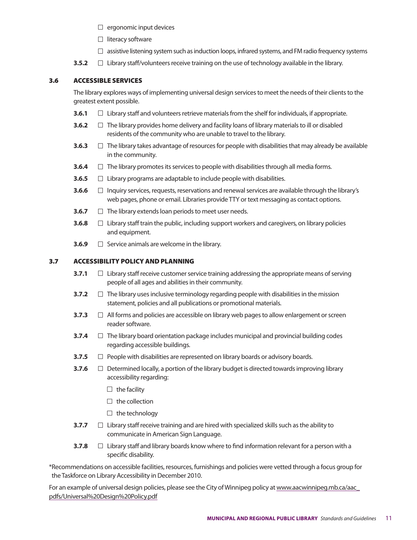- $\Box$  ergonomic input devices
- $\Box$  literacy software
- $\Box$  assistive listening system such as induction loops, infrared systems, and FM radio frequency systems
- **3.5.2**  $\Box$  Library staff/volunteers receive training on the use of technology available in the library.

# <span id="page-12-0"></span>3.6 Accessible Services

The library explores ways of implementing universal design services to meet the needs of their clients to the greatest extent possible.

- **3.6.1**  $\Box$  Library staff and volunteers retrieve materials from the shelf for individuals, if appropriate.
- **3.6.2**  $\Box$  The library provides home delivery and facility loans of library materials to ill or disabled residents of the community who are unable to travel to the library.
- **3.6.3**  $\Box$  The library takes advantage of resources for people with disabilities that may already be available in the community.
- **3.6.4**  $\Box$  The library promotes its services to people with disabilities through all media forms.
- **3.6.5**  $\Box$  Library programs are adaptable to include people with disabilities.
- **3.6.6 Inquiry services, requests, reservations and renewal services are available through the library's** web pages, phone or email. Libraries provide TTY or text messaging as contact options.
- **3.6.7**  $\Box$  The library extends loan periods to meet user needs.
- **3.6.8**  $\Box$  Library staff train the public, including support workers and caregivers, on library policies and equipment.
- **3.6.9** □ Service animals are welcome in the library.

## 3.7 Accessibility Policy and Planning

- **3.7.1**  $\Box$  Library staff receive customer service training addressing the appropriate means of serving people of all ages and abilities in their community.
- **3.7.2**  $\Box$  The library uses inclusive terminology regarding people with disabilities in the mission statement, policies and all publications or promotional materials.
- **3.7.3**  $\Box$  All forms and policies are accessible on library web pages to allow enlargement or screen reader software.
- **3.7.4**  $\Box$  The library board orientation package includes municipal and provincial building codes regarding accessible buildings.
- **3.7.5**  $\Box$  People with disabilities are represented on library boards or advisory boards.
- **3.7.6**  $\Box$  Determined locally, a portion of the library budget is directed towards improving library accessibility regarding:
	- $\Box$  the facility
	- $\Box$  the collection
	- $\Box$  the technology
- **3.7.7**  $\Box$  Library staff receive training and are hired with specialized skills such as the ability to communicate in American Sign Language.
- **3.7.8**  $\Box$  Library staff and library boards know where to find information relevant for a person with a specific disability.

\*Recommendations on accessible facilities, resources, furnishings and policies were vetted through a focus group for the Taskforce on Library Accessibility in December 2010.

For an example of universal design policies, please see the City of Winnipeg policy at www.aacwinnipeg.mb.ca/aac [pdfs/Universal%20Design%20Policy.pdf](http://www.aacwinnipeg.mb.ca/aac_pdfs/Universal%20Design%20Policy.pdf)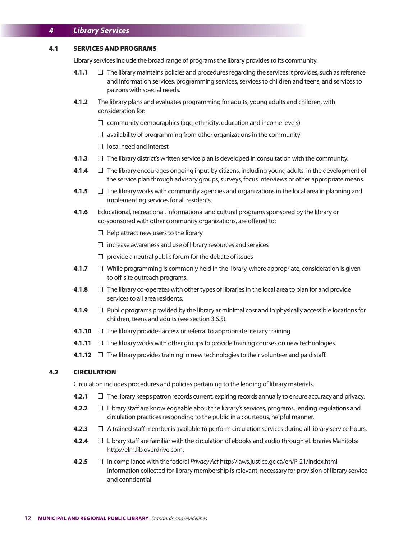# <span id="page-13-0"></span>*4 Library Services*

# 4.1 Services and Programs

Library services include the broad range of programs the library provides to its community.

- **4.1.1** □ The library maintains policies and procedures regarding the services it provides, such as reference and information services, programming services, services to children and teens, and services to patrons with special needs.
- **4.1.2** The library plans and evaluates programming for adults, young adults and children, with consideration for:
	- $\Box$  community demographics (age, ethnicity, education and income levels)
	- $\Box$  availability of programming from other organizations in the community
	- $\Box$  local need and interest
- **4.1.3**  $\Box$  The library district's written service plan is developed in consultation with the community.
- **4.1.4**  $\Box$  The library encourages ongoing input by citizens, including young adults, in the development of the service plan through advisory groups, surveys, focus interviews or other appropriate means.
- **4.1.5**  $\Box$  The library works with community agencies and organizations in the local area in planning and implementing services for all residents.
- **4.1.6** Educational, recreational, informational and cultural programs sponsored by the library or co-sponsored with other community organizations, are offered to:
	- $\Box$  help attract new users to the library
	- $\Box$  increase awareness and use of library resources and services
	- $\Box$  provide a neutral public forum for the debate of issues
- **4.1.7**  $\Box$  While programming is commonly held in the library, where appropriate, consideration is given to off-site outreach programs.
- **4.1.8**  $\Box$  The library co-operates with other types of libraries in the local area to plan for and provide services to all area residents.
- **4.1.9** □ Public programs provided by the library at minimal cost and in physically accessible locations for children, teens and adults (see section 3.6.5).
- **4.1.10**  $\Box$  The library provides access or referral to appropriate literacy training.
- **4.1.11**  $\Box$  The library works with other groups to provide training courses on new technologies.
- **4.1.12**  $\Box$  The library provides training in new technologies to their volunteer and paid staff.

#### 4.2 Circulation

Circulation includes procedures and policies pertaining to the lending of library materials.

- **4.2.1**  $\Box$  The library keeps patron records current, expiring records annually to ensure accuracy and privacy.
- **4.2.2**  $\Box$  Library staff are knowledgeable about the library's services, programs, lending regulations and circulation practices responding to the public in a courteous, helpful manner.
- **4.2.3**  $\Box$  A trained staff member is available to perform circulation services during all library service hours.
- **4.2.4** □ Library staff are familiar with the circulation of ebooks and audio through eLibraries Manitoba <http://elm.lib.overdrive.com>.
- **4.2.5** In compliance with the federal *Privacy Act* <http://laws.justice.gc.ca/en/P-21/index.html>, information collected for library membership is relevant, necessary for provision of library service and confidential.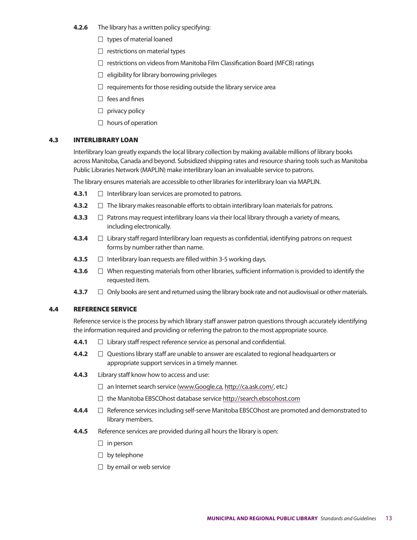- <span id="page-14-0"></span>**4.2.6** The library has a written policy specifying:
	- $\Box$  types of material loaned
	- $\Box$  restrictions on material types
	- $\Box$  restrictions on videos from Manitoba Film Classification Board (MFCB) ratings
	- $\Box$  eligibility for library borrowing privileges
	- $\Box$  requirements for those residing outside the library service area
	- $\Box$  fees and fines
	- $\Box$  privacy policy
	- $\Box$  hours of operation

# 4.3 Interlibrary Loan

Interlibrary loan greatly expands the local library collection by making available millions of library books across Manitoba, Canada and beyond. Subsidized shipping rates and resource sharing tools such as Manitoba Public Libraries Network (MAPLIN) make interlibrary loan an invaluable service to patrons.

The library ensures materials are accessible to other libraries for interlibrary loan via MAPLIN.

- **4.3.1** □ Interlibrary loan services are promoted to patrons.
- **4.3.2**  $\Box$  The library makes reasonable efforts to obtain interlibrary loan materials for patrons.
- **4.3.3**  $\Box$  Patrons may request interlibrary loans via their local library through a variety of means, including electronically.
- **4.3.4**  $\Box$  Library staff regard Interlibrary loan requests as confidential, identifying patrons on request forms by number rather than name.
- **4.3.5**  $\Box$  Interlibrary loan requests are filled within 3-5 working days.
- **4.3.6**  $\Box$  When requesting materials from other libraries, sufficient information is provided to identify the requested item.
- **4.3.7**  $\Box$  Only books are sent and returned using the library book rate and not audiovisual or other materials.

# 4.4 Reference Service

Reference service is the process by which library staff answer patron questions through accurately identifying the information required and providing or referring the patron to the most appropriate source.

- **4.4.1** □ Library staff respect reference service as personal and confidential.
- **4.4.2**  $\Box$  Questions library staff are unable to answer are escalated to regional headquarters or appropriate support services in a timely manner.
- **4.4.3** Library staff know how to access and use:
	- $\Box$  an Internet search service [\(www.Google.ca](http://www.Google.ca), [http://ca.ask.com/,](http://ca.ask.com/) etc.)
	- $\Box$  the Manitoba EBSCOhost database service<http://search.ebscohost.com>
- **4.4.4** □ Reference services including self-serve Manitoba EBSCOhost are promoted and demonstrated to library members.
- **4.4.5** Reference services are provided during all hours the library is open:
	- $\Box$  in person
	- $\Box$  by telephone
	- $\Box$  by email or web service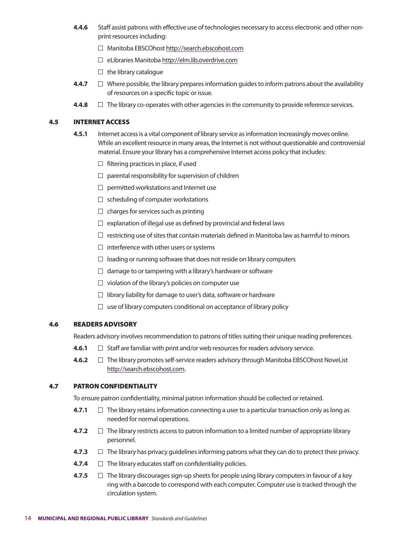- <span id="page-15-0"></span>**4.4.6** Staff assist patrons with effective use of technologies necessary to access electronic and other nonprint resources including:
	- Manitoba EBSCOhost<http://search.ebscohost.com>
	- □ eLibraries Manitoba<http://elm.lib.overdrive.com>
	- $\Box$  the library catalogue
- **4.4.7**  $\Box$  Where possible, the library prepares information guides to inform patrons about the availability of resources on a specific topic or issue.
- **4.4.8** □ The library co-operates with other agencies in the community to provide reference services.

# 4.5 Internet access

- **4.5.1** Internet access is a vital component of library service as information increasingly moves online. While an excellent resource in many areas, the Internet is not without questionable and controversial material. Ensure your library has a comprehensive Internet access policy that includes:
	- $\Box$  filtering practices in place, if used
	- $\Box$  parental responsibility for supervision of children
	- $\Box$  permitted workstations and Internet use
	- $\Box$  scheduling of computer workstations
	- $\Box$  charges for services such as printing
	- $\Box$  explanation of illegal use as defined by provincial and federal laws
	- $\Box$  restricting use of sites that contain materials defined in Manitoba law as harmful to minors
	- $\Box$  interference with other users or systems
	- $\Box$  loading or running software that does not reside on library computers
	- $\Box$  damage to or tampering with a library's hardware or software
	- $\Box$  violation of the library's policies on computer use
	- $\Box$  library liability for damage to user's data, software or hardware
	- $\Box$  use of library computers conditional on acceptance of library policy

## 4.6 Readers Advisory

Readers advisory involves recommendation to patrons of titles suiting their unique reading preferences.

- **4.6.1** □ Staff are familiar with print and/or web resources for readers advisory service.
- **4.6.2** □ The library promotes self-service readers advisory through Manitoba EBSCOhost NoveList <http://search.ebscohost.com>.

# 4.7 Patron Confidentiality

To ensure patron confidentiality, minimal patron information should be collected or retained.

- **4.7.1**  $\Box$  The library retains information connecting a user to a particular transaction only as long as needed for normal operations.
- **4.7.2**  $\Box$  The library restricts access to patron information to a limited number of appropriate library personnel.
- **4.7.3**  $\Box$  The library has privacy quidelines informing patrons what they can do to protect their privacy.
- **4.7.4**  $\Box$  The library educates staff on confidentiality policies.
- **4.7.5**  $\Box$  The library discourages sign-up sheets for people using library computers in favour of a key ring with a barcode to correspond with each computer. Computer use is tracked through the circulation system.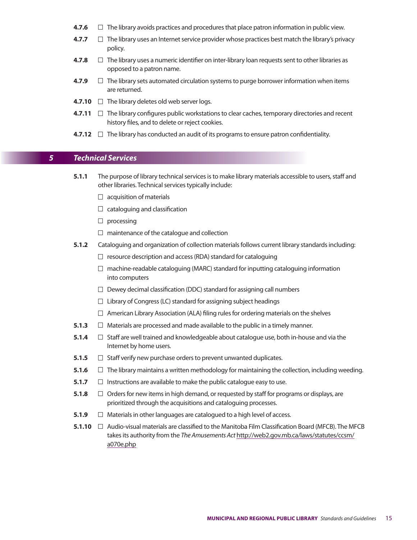- <span id="page-16-0"></span>**4.7.6**  $\Box$  The library avoids practices and procedures that place patron information in public view.
- **4.7.7**  $\Box$  The library uses an Internet service provider whose practices best match the library's privacy policy.
- **4.7.8** □ The library uses a numeric identifier on inter-library loan requests sent to other libraries as opposed to a patron name.
- **4.7.9**  $\Box$  The library sets automated circulation systems to purge borrower information when items are returned.
- **4.7.10** □ The library deletes old web server logs.
- **4.7.11**  $\Box$  The library configures public workstations to clear caches, temporary directories and recent history files, and to delete or reject cookies.
- **4.7.12**  $\Box$  The library has conducted an audit of its programs to ensure patron confidentiality.

# *5 Technical Services*

- **5.1.1** The purpose of library technical services is to make library materials accessible to users, staff and other libraries. Technical services typically include:
	- $\Box$  acquisition of materials
	- $\Box$  cataloguing and classification
	- $\square$  processing
	- $\Box$  maintenance of the catalogue and collection
- **5.1.2** Cataloguing and organization of collection materials follows current library standards including:
	- $\Box$  resource description and access (RDA) standard for cataloguing
	- $\Box$  machine-readable cataloguing (MARC) standard for inputting cataloguing information into computers
	- $\Box$  Dewey decimal classification (DDC) standard for assigning call numbers
	- $\Box$  Library of Congress (LC) standard for assigning subject headings
	- $\Box$  American Library Association (ALA) filing rules for ordering materials on the shelves
- **5.1.3**  $\Box$  Materials are processed and made available to the public in a timely manner.
- **5.1.4** Staff are well trained and knowledgeable about catalogue use, both in-house and via the Internet by home users.
- **5.1.5**  $\square$  Staff verify new purchase orders to prevent unwanted duplicates.
- **5.1.6**  $\Box$  The library maintains a written methodology for maintaining the collection, including weeding.
- **5.1.7**  $\Box$  Instructions are available to make the public catalogue easy to use.
- **5.1.8**  $\Box$  Orders for new items in high demand, or requested by staff for programs or displays, are prioritized through the acquisitions and cataloguing processes.
- **5.1.9**  $\Box$  Materials in other languages are catalogued to a high level of access.

**5.1.10** □ Audio-visual materials are classified to the Manitoba Film Classification Board (MFCB). The MFCB takes its authority from the *The Amusements Act* [http://web2.gov.mb.ca/laws/statutes/ccsm/](http://web2.gov.mb.ca/laws/statutes/ccsm/a070e.php) [a070e.php](http://web2.gov.mb.ca/laws/statutes/ccsm/a070e.php)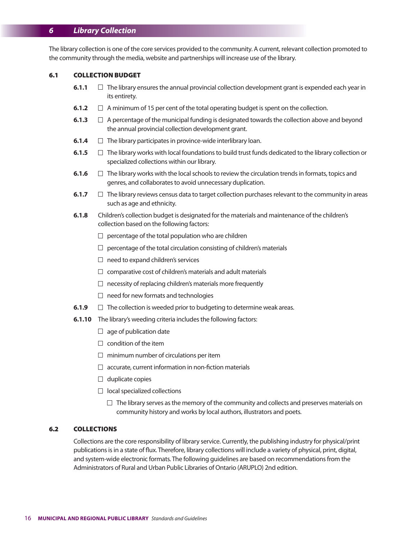# <span id="page-17-0"></span>*6 Library Collection*

The library collection is one of the core services provided to the community. A current, relevant collection promoted to the community through the media, website and partnerships will increase use of the library.

#### 6.1 COLLECTION BUDGET

- **6.1.1**  $\Box$  The library ensures the annual provincial collection development grant is expended each year in its entirety.
- **6.1.2** □ A minimum of 15 per cent of the total operating budget is spent on the collection.
- **6.1.3** □ A percentage of the municipal funding is designated towards the collection above and beyond the annual provincial collection development grant.
- **6.1.4**  $\Box$  The library participates in province-wide interlibrary loan.
- **6.1.5**  $\Box$  The library works with local foundations to build trust funds dedicated to the library collection or specialized collections within our library.
- **6.1.6**  $\Box$  The library works with the local schools to review the circulation trends in formats, topics and genres, and collaborates to avoid unnecessary duplication.
- **6.1.7**  $\Box$  The library reviews census data to target collection purchases relevant to the community in areas such as age and ethnicity.
- **6.1.8** Children's collection budget is designated for the materials and maintenance of the children's collection based on the following factors:
	- $\Box$  percentage of the total population who are children
	- $\Box$  percentage of the total circulation consisting of children's materials
	- $\Box$  need to expand children's services
	- $\Box$  comparative cost of children's materials and adult materials
	- $\Box$  necessity of replacing children's materials more frequently
	- $\Box$  need for new formats and technologies
- **6.1.9** □ The collection is weeded prior to budgeting to determine weak areas.
- **6.1.10** The library's weeding criteria includes the following factors:
	- $\Box$  age of publication date
	- $\Box$  condition of the item
	- $\Box$  minimum number of circulations per item
	- $\Box$  accurate, current information in non-fiction materials
	- $\Box$  duplicate copies
	- $\Box$  local specialized collections
		- $\Box$  The library serves as the memory of the community and collects and preserves materials on community history and works by local authors, illustrators and poets.

# 6.2 Collections

Collections are the core responsibility of library service. Currently, the publishing industry for physical/print publications is in a state of flux. Therefore, library collections will include a variety of physical, print, digital, and system-wide electronic formats. The following guidelines are based on recommendations from the Administrators of Rural and Urban Public Libraries of Ontario (ARUPLO) 2nd edition.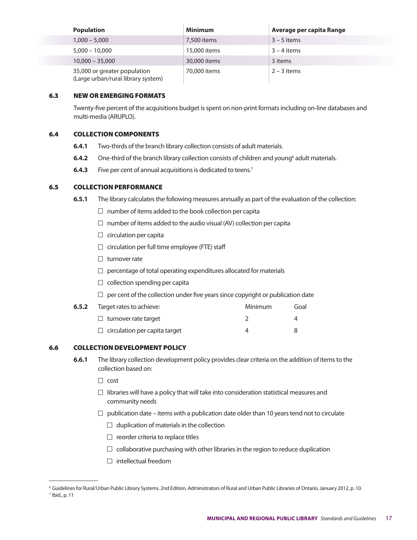<span id="page-18-0"></span>

| <b>Population</b>                                                  | <b>Minimum</b> | Average per capita Range |
|--------------------------------------------------------------------|----------------|--------------------------|
| $1,000 - 5,000$                                                    | 7,500 items    | $3 - 5$ items            |
| $5.000 - 10.000$                                                   | 15,000 items   | $3 - 4$ items            |
| $10,000 - 35,000$                                                  | 30,000 items   | 3 items                  |
| 35,000 or greater population<br>(Large urban/rural library system) | 70,000 items   | $2 - 3$ items            |

# 6.3 New or Emerging Formats

Twenty-five percent of the acquisitions budget is spent on non-print formats including on-line databases and multi-media (ARUPLO).

# 6.4 Collection Components

- **6.4.1** Two-thirds of the branch library collection consists of adult materials.
- **6.4.2** One-third of the branch library collection consists of children and young<sup>6</sup> adult materials.
- **6.4.3** Five per cent of annual acquisitions is dedicated to teens.<sup>7</sup>

# 6.5 Collection Performance

- **6.5.1** The library calculates the following measures annually as part of the evaluation of the collection:
	- $\Box$  number of items added to the book collection per capita
	- $\Box$  number of items added to the audio visual (AV) collection per capita
	- $\Box$  circulation per capita
	- $\Box$  circulation per full time employee (FTE) staff
	- $\Box$  turnover rate
	- $\Box$  percentage of total operating expenditures allocated for materials
	- $\Box$  collection spending per capita
	- $\Box$  per cent of the collection under five years since copyright or publication date

| <b>6.5.2</b> Target rates to achieve: | Minimum | Goal |
|---------------------------------------|---------|------|
| $\Box$ turnover rate target           |         |      |
| $\Box$ circulation per capita target  |         |      |

# 6.6 Collection Development Policy

- **6.6.1** The library collection development policy provides clear criteria on the addition of items to the collection based on:
	- $\Box$  cost
	- $\Box$  libraries will have a policy that will take into consideration statistical measures and community needs
	- $\Box$  publication date items with a publication date older than 10 years tend not to circulate
		- $\Box$  duplication of materials in the collection
		- $\Box$  reorder criteria to replace titles
		- $\Box$  collaborative purchasing with other libraries in the region to reduce duplication
		- $\Box$  intellectual freedom

<sup>6</sup> Guidelines for Rural/Urban Public Library Systems. 2nd Edition. Administrators of Rural and Urban Public Libraries of Ontario. January 2012, p. 10.

<sup>7</sup> Ibid., p. 11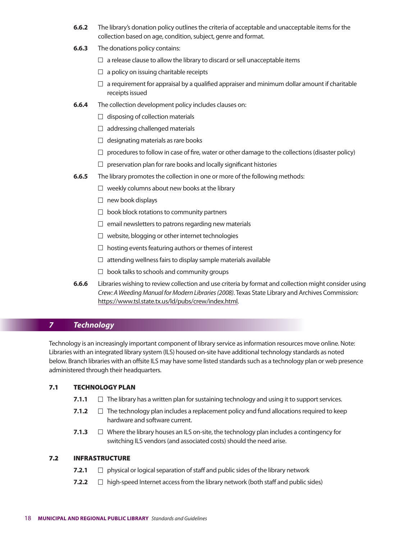- <span id="page-19-0"></span>**6.6.2** The library's donation policy outlines the criteria of acceptable and unacceptable items for the collection based on age, condition, subject, genre and format.
- **6.6.3** The donations policy contains:
	- $\Box$  a release clause to allow the library to discard or sell unacceptable items
	- $\Box$  a policy on issuing charitable receipts
	- $\Box$  a requirement for appraisal by a qualified appraiser and minimum dollar amount if charitable receipts issued
- **6.6.4** The collection development policy includes clauses on:
	- $\Box$  disposing of collection materials
	- $\Box$  addressing challenged materials
	- $\Box$  designating materials as rare books
	- $\Box$  procedures to follow in case of fire, water or other damage to the collections (disaster policy)
	- $\Box$  preservation plan for rare books and locally significant histories
- **6.6.5** The library promotes the collection in one or more of the following methods:
	- $\Box$  weekly columns about new books at the library
	- $\Box$  new book displays
	- $\Box$  book block rotations to community partners
	- $\Box$  email newsletters to patrons regarding new materials
	- $\Box$  website, blogging or other internet technologies
	- $\Box$  hosting events featuring authors or themes of interest
	- $\Box$  attending wellness fairs to display sample materials available
	- $\Box$  book talks to schools and community groups
- **6.6.6** Libraries wishing to review collection and use criteria by format and collection might consider using *Crew: A Weeding Manual for Modern Libraries (2008)*. Texas State Library and Archives Commission: <https://www.tsl.state.tx.us/ld/pubs/crew/index.html>.

# *7 Technology*

Technology is an increasingly important component of library service as information resources move online. Note: Libraries with an integrated library system (ILS) housed on-site have additional technology standards as noted below. Branch libraries with an offsite ILS may have some listed standards such as a technology plan or web presence administered through their headquarters.

# 7.1 Technology Plan

- **7.1.1**  $\Box$  The library has a written plan for sustaining technology and using it to support services.
- **7.1.2**  $\Box$  The technology plan includes a replacement policy and fund allocations required to keep hardware and software current.
- **7.1.3** Where the library houses an ILS on-site, the technology plan includes a contingency for switching ILS vendors (and associated costs) should the need arise.

# 7.2 Infrastructure

- **7.2.1** □ physical or logical separation of staff and public sides of the library network
- **7.2.2**  $\Box$  high-speed Internet access from the library network (both staff and public sides)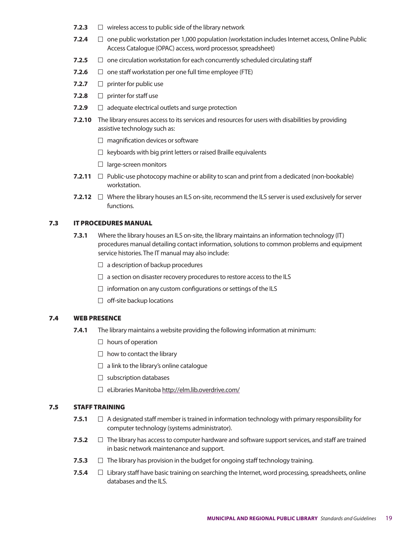- <span id="page-20-0"></span>**7.2.3** □ wireless access to public side of the library network
- **7.2.4** □ one public workstation per 1,000 population (workstation includes Internet access, Online Public Access Catalogue (OPAC) access, word processor, spreadsheet)
- **7.2.5**  $\Box$  one circulation workstation for each concurrently scheduled circulating staff
- **7.2.6**  $\Box$  one staff workstation per one full time employee (FTE)
- **7.2.7**  $\Box$  printer for public use
- **7.2.8**  $\Box$  printer for staff use
- **7.2.9**  $\Box$  adequate electrical outlets and surge protection
- **7.2.10** The library ensures access to its services and resources for users with disabilities by providing assistive technology such as:
	- $\Box$  magnification devices or software
	- $\Box$  keyboards with big print letters or raised Braille equivalents
	- $\Box$  large-screen monitors
- **7.2.11** □ Public-use photocopy machine or ability to scan and print from a dedicated (non-bookable) workstation.
- **7.2.12** □ Where the library houses an ILS on-site, recommend the ILS server is used exclusively for server functions.

# 7.3 IT Procedures Manual

- **7.3.1** Where the library houses an ILS on-site, the library maintains an information technology (IT) procedures manual detailing contact information, solutions to common problems and equipment service histories. The IT manual may also include:
	- $\Box$  a description of backup procedures
	- $\Box$  a section on disaster recovery procedures to restore access to the ILS
	- $\Box$  information on any custom configurations or settings of the ILS
	- $\Box$  off-site backup locations

# 7.4 Web Presence

- **7.4.1** The library maintains a website providing the following information at minimum:
	- $\Box$  hours of operation
	- $\Box$  how to contact the library
	- $\Box$  a link to the library's online catalogue
	- $\Box$  subscription databases
	- □ eLibraries Manitoba<http://elm.lib.overdrive.com/>

#### 7.5 Staff Training

- **7.5.1**  $\Box$  A designated staff member is trained in information technology with primary responsibility for computer technology (systems administrator).
- **7.5.2**  $\Box$  The library has access to computer hardware and software support services, and staff are trained in basic network maintenance and support.
- **7.5.3**  $\Box$  The library has provision in the budget for ongoing staff technology training.
- **7.5.4**  $\Box$  Library staff have basic training on searching the Internet, word processing, spreadsheets, online databases and the ILS.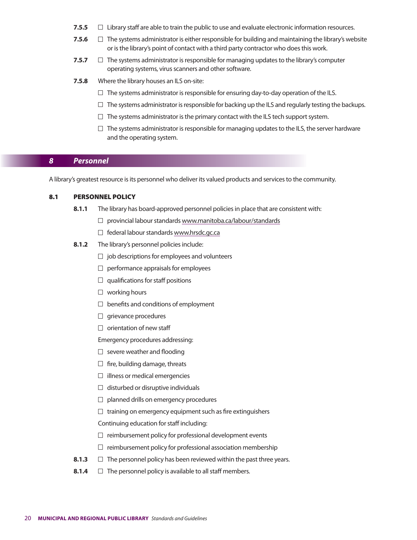- <span id="page-21-0"></span>**7.5.5**  $\Box$  Library staff are able to train the public to use and evaluate electronic information resources.
- **7.5.6**  $\Box$  The systems administrator is either responsible for building and maintaining the library's website or is the library's point of contact with a third party contractor who does this work.
- **7.5.7**  $\Box$  The systems administrator is responsible for managing updates to the library's computer operating systems, virus scanners and other software.
- **7.5.8** Where the library houses an ILS on-site:
	- $\Box$  The systems administrator is responsible for ensuring day-to-day operation of the ILS.
	- $\Box$  The systems administrator is responsible for backing up the ILS and regularly testing the backups.
	- $\Box$  The systems administrator is the primary contact with the ILS tech support system.
	- $\Box$  The systems administrator is responsible for managing updates to the ILS, the server hardware and the operating system.

# *8 Personnel*

A library's greatest resource is its personnel who deliver its valued products and services to the community.

# 8.1 Personnel Policy

- **8.1.1** The library has board-approved personnel policies in place that are consistent with:
	- □ provincial labour standards [www.manitoba.ca/labour/standards](http://www.manitoba.ca/labour/standards/)
	- $\Box$  federal labour standards [www.hrsdc.gc.ca](http://www.hrsdc.gc.ca)
- **8.1.2** The library's personnel policies include:
	- $\Box$  job descriptions for employees and volunteers
	- $\Box$  performance appraisals for employees
	- $\Box$  qualifications for staff positions
	- $\Box$  working hours
	- $\Box$  benefits and conditions of employment
	- $\Box$  grievance procedures
	- $\Box$  orientation of new staff

Emergency procedures addressing:

- $\Box$  severe weather and flooding
- $\Box$  fire, building damage, threats
- $\Box$  illness or medical emergencies
- $\Box$  disturbed or disruptive individuals
- $\Box$  planned drills on emergency procedures
- $\Box$  training on emergency equipment such as fire extinguishers
- Continuing education for staff including:
- $\Box$  reimbursement policy for professional development events
- $\Box$  reimbursement policy for professional association membership
- **8.1.3**  $\Box$  The personnel policy has been reviewed within the past three years.
- **8.1.4**  $\Box$  The personnel policy is available to all staff members.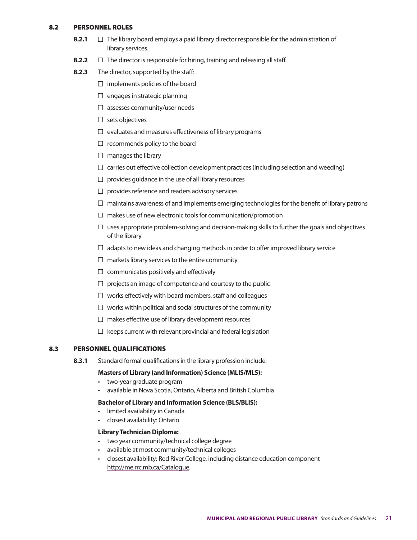#### <span id="page-22-0"></span>8.2 Personnel Roles

- **8.2.1** □ The library board employs a paid library director responsible for the administration of library services.
- **8.2.2** □ The director is responsible for hiring, training and releasing all staff.
- **8.2.3** The director, supported by the staff:
	- $\Box$  implements policies of the board
	- $\Box$  engages in strategic planning
	- $\Box$  assesses community/user needs
	- $\Box$  sets objectives
	- $\Box$  evaluates and measures effectiveness of library programs
	- $\Box$  recommends policy to the board
	- $\Box$  manages the library
	- $\Box$  carries out effective collection development practices (including selection and weeding)
	- $\Box$  provides guidance in the use of all library resources
	- $\Box$  provides reference and readers advisory services
	- $\Box$  maintains awareness of and implements emerging technologies for the benefit of library patrons
	- $\Box$  makes use of new electronic tools for communication/promotion
	- $\Box$  uses appropriate problem-solving and decision-making skills to further the goals and objectives of the library
	- $\Box$  adapts to new ideas and changing methods in order to offer improved library service
	- $\Box$  markets library services to the entire community
	- $\Box$  communicates positively and effectively
	- $\Box$  projects an image of competence and courtesy to the public
	- $\Box$  works effectively with board members, staff and colleagues
	- $\Box$  works within political and social structures of the community
	- $\Box$  makes effective use of library development resources
	- $\Box$  keeps current with relevant provincial and federal legislation

### 8.3 Personnel Qualifications

**8.3.1** Standard formal qualifications in the library profession include:

#### **Masters of Library (and Information) Science (MLIS/MLS):**

- two-year graduate program
- available in Nova Scotia, Ontario, Alberta and British Columbia

# **Bachelor of Library and Information Science (BLS/BLIS):**

- limited availability in Canada
- closest availability: Ontario

#### **Library Technician Diploma:**

- two year community/technical college degree
- • available at most community/technical colleges
- • closest availability: Red River College, including distance education component [http://me.rrc.mb.ca/Catalogue.](http://me.rrc.mb.ca/Catalogue)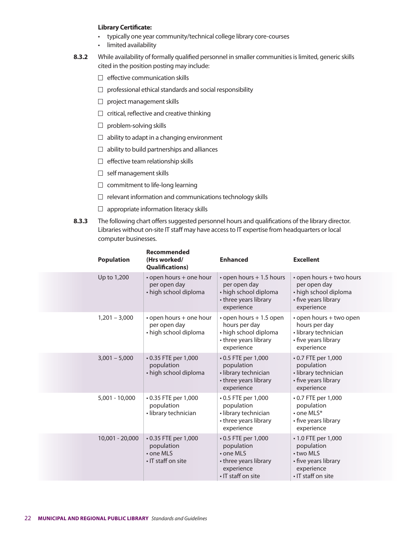#### **Library Certificate:**

- • typically one year community/technical college library core-courses
- • limited availability
- **8.3.2** While availability of formally qualified personnel in smaller communities is limited, generic skills cited in the position posting may include:
	- $\Box$  effective communication skills
	- $\Box$  professional ethical standards and social responsibility
	- $\Box$  project management skills
	- $\Box$  critical, reflective and creative thinking
	- $\Box$  problem-solving skills
	- $\Box$  ability to adapt in a changing environment
	- $\Box$  ability to build partnerships and alliances
	- $\Box$  effective team relationship skills
	- $\Box$  self management skills
	- $\Box$  commitment to life-long learning
	- $\Box$  relevant information and communications technology skills
	- $\Box$  appropriate information literacy skills
- **8.3.3** The following chart offers suggested personnel hours and qualifications of the library director. Libraries without on-site IT staff may have access to IT expertise from headquarters or local computer businesses.

| <b>Population</b> | Recommended<br>(Hrs worked/<br><b>Qualifications)</b>                       | <b>Enhanced</b>                                                                                                         | <b>Excellent</b>                                                                                              |
|-------------------|-----------------------------------------------------------------------------|-------------------------------------------------------------------------------------------------------------------------|---------------------------------------------------------------------------------------------------------------|
| Up to 1,200       | $\cdot$ open hours + one hour<br>per open day<br>• high school diploma      | $\cdot$ open hours + 1.5 hours<br>per open day<br>• high school diploma<br>• three years library<br>experience          | $\cdot$ open hours + two hours<br>per open day<br>• high school diploma<br>• five years library<br>experience |
| $1,201 - 3,000$   | $\cdot$ open hours + one hour<br>per open day<br>• high school diploma      | $\cdot$ open hours + 1.5 open<br>hours per day<br>• high school diploma<br>• three years library<br>experience          | $\cdot$ open hours + two open<br>hours per day<br>· library technician<br>• five years library<br>experience  |
| $3,001 - 5,000$   | • 0.35 FTE per 1,000<br>population<br>• high school diploma                 | $\cdot$ 0.5 FTE per 1,000<br>population<br>· library technician<br>• three years library<br>experience                  | $\cdot$ 0.7 FTE per 1,000<br>population<br>· library technician<br>• five years library<br>experience         |
| $5.001 - 10.000$  | $\cdot$ 0.35 FTE per 1,000<br>population<br>· library technician            | $\cdot$ 0.5 FTE per 1,000<br>population<br>·library technician<br>• three years library<br>experience                   | • 0.7 FTE per 1,000<br>population<br>$\cdot$ one MLS*<br>• five years library<br>experience                   |
| 10,001 - 20,000   | • 0.35 FTE per 1,000<br>population<br>$\cdot$ one MLS<br>• IT staff on site | $\cdot$ 0.5 FTE per 1,000<br>population<br>$\cdot$ one MLS<br>• three years library<br>experience<br>• IT staff on site | • 1.0 FTE per 1,000<br>population<br>• two MLS<br>• five years library<br>experience<br>• IT staff on site    |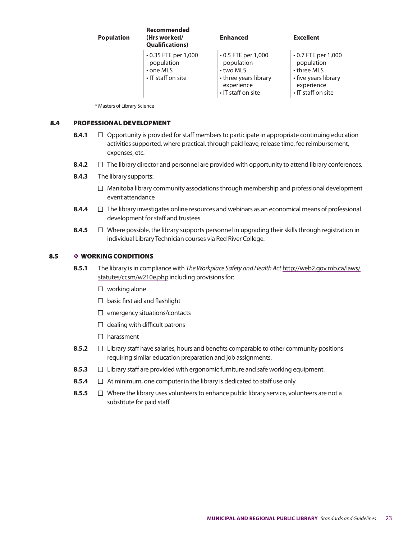<span id="page-24-0"></span>

| <b>Population</b> | Recommended<br>(Hrs worked/<br><b>Qualifications)</b>                                   | <b>Enhanced</b>                                                                                                   | <b>Excellent</b>                                                                                                   |
|-------------------|-----------------------------------------------------------------------------------------|-------------------------------------------------------------------------------------------------------------------|--------------------------------------------------------------------------------------------------------------------|
|                   | $\cdot$ 0.35 FTE per 1,000<br>population<br>$\cdot$ one MLS<br>$\cdot$ IT staff on site | $\cdot$ 0.5 FTE per 1,000<br>population<br>• two MLS<br>• three years library<br>experience<br>• IT staff on site | $\cdot$ 0.7 FTE per 1,000<br>population<br>• three MLS<br>• five years library<br>experience<br>• IT staff on site |

\* Masters of Library Science

# 8.4 Professional Development

- **8.4.1** □ Opportunity is provided for staff members to participate in appropriate continuing education activities supported, where practical, through paid leave, release time, fee reimbursement, expenses, etc.
- **8.4.2** □ The library director and personnel are provided with opportunity to attend library conferences.
- **8.4.3** The library supports:
	- $\Box$  Manitoba library community associations through membership and professional development event attendance
- **8.4.4** □ The library investigates online resources and webinars as an economical means of professional development for staff and trustees.
- **8.4.5** □ Where possible, the library supports personnel in upgrading their skills through registration in individual Library Technician courses via Red River College.

## 8.5 ♦ WORKING CONDITIONS

- **8.5.1** The library is in compliance with *The Workplace Safety and Health Act* [http://web2.gov.mb.ca/laws/](http://web2.gov.mb.ca/laws/statutes/ccsm/w210e.php) [statutes/ccsm/w210e.php.](http://web2.gov.mb.ca/laws/statutes/ccsm/w210e.php)including provisions for:
	- $\Box$  working alone
	- $\Box$  basic first aid and flashlight
	- $\Box$  emergency situations/contacts
	- $\Box$  dealing with difficult patrons
	- □ harassment
- **8.5.2** □ Library staff have salaries, hours and benefits comparable to other community positions requiring similar education preparation and job assignments.
- **8.5.3** □ Library staff are provided with ergonomic furniture and safe working equipment.
- **8.5.4**  $\Box$  At minimum, one computer in the library is dedicated to staff use only.
- **8.5.5** □ Where the library uses volunteers to enhance public library service, volunteers are not a substitute for paid staff.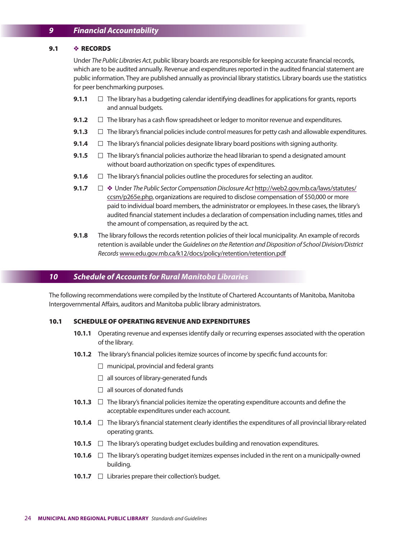#### <span id="page-25-0"></span>9.1 **❖ RECORDS**

Under *The Public Libraries Act*, public library boards are responsible for keeping accurate financial records, which are to be audited annually. Revenue and expenditures reported in the audited financial statement are public information. They are published annually as provincial library statistics. Library boards use the statistics for peer benchmarking purposes.

- **9.1.1**  $\Box$  The library has a budgeting calendar identifying deadlines for applications for grants, reports and annual budgets.
- **9.1.2**  $\Box$  The library has a cash flow spreadsheet or ledger to monitor revenue and expenditures.
- **9.1.3**  $\Box$  The library's financial policies include control measures for petty cash and allowable expenditures.
- **9.1.4**  $\Box$  The library's financial policies designate library board positions with signing authority.
- **9.1.5**  $\Box$  The library's financial policies authorize the head librarian to spend a designated amount without board authorization on specific types of expenditures.
- **9.1.6**  $\Box$  The library's financial policies outline the procedures for selecting an auditor.
- **9.1.7** ❖ Under *The Public Sector Compensation Disclosure Act* [http://web2.gov.mb.ca/laws/statutes/](http://web2.gov.mb.ca/laws/statutes/ccsm/p265e.php) [ccsm/p265e.php](http://web2.gov.mb.ca/laws/statutes/ccsm/p265e.php), organizations are required to disclose compensation of \$50,000 or more paid to individual board members, the administrator or employees. In these cases, the library's audited financial statement includes a declaration of compensation including names, titles and the amount of compensation, as required by the act.
- **9.1.8** The library follows the records retention policies of their local municipality. An example of records retention is available under the *Guidelines on the Retention and Disposition of School Division/District Records* [www.edu.gov.mb.ca/k12/docs/policy/retention/retention.pdf](http://www.edu.gov.mb.ca/k12/docs/policy/retention/retention.pdf)

# *10 Schedule of Accounts for Rural Manitoba Libraries*

The following recommendations were compiled by the Institute of Chartered Accountants of Manitoba, Manitoba Intergovernmental Affairs, auditors and Manitoba public library administrators.

# 10.1 Schedule of Operating Revenue and Expenditures

- **10.1.1** Operating revenue and expenses identify daily or recurring expenses associated with the operation of the library.
- **10.1.2** The library's financial policies itemize sources of income by specific fund accounts for:
	- $\Box$  municipal, provincial and federal grants
	- $\Box$  all sources of library-generated funds
	- $\Box$  all sources of donated funds
- **10.1.3**  $\Box$  The library's financial policies itemize the operating expenditure accounts and define the acceptable expenditures under each account.
- **10.1.4**  $\Box$  The library's financial statement clearly identifies the expenditures of all provincial library-related operating grants.
- **10.1.5**  $\Box$  The library's operating budget excludes building and renovation expenditures.
- **10.1.6**  $\Box$  The library's operating budget itemizes expenses included in the rent on a municipally-owned building.
- **10.1.7** □ Libraries prepare their collection's budget.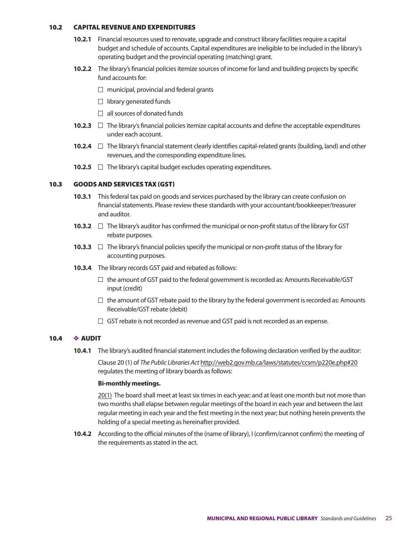# <span id="page-26-0"></span>10.2 Capital Revenue and Expenditures

- **10.2.1** Financial resources used to renovate, upgrade and construct library facilities require a capital budget and schedule of accounts. Capital expenditures are ineligible to be included in the library's operating budget and the provincial operating (matching) grant.
- **10.2.2** The library's financial policies itemize sources of income for land and building projects by specific fund accounts for:
	- $\Box$  municipal, provincial and federal grants
	- $\Box$  library generated funds
	- $\Box$  all sources of donated funds
- **10.2.3**  $\Box$  The library's financial policies itemize capital accounts and define the acceptable expenditures under each account.
- **10.2.4** □ The library's financial statement clearly identifies capital-related grants (building, land) and other revenues, and the corresponding expenditure lines.
- **10.2.5**  $\Box$  The library's capital budget excludes operating expenditures.

## 10.3 Goods and Services Tax (GST)

- **10.3.1** This federal tax paid on goods and services purchased by the library can create confusion on financial statements. Please review these standards with your accountant/bookkeeper/treasurer and auditor.
- **10.3.2**  $\Box$  The library's auditor has confirmed the municipal or non-profit status of the library for GST rebate purposes.
- **10.3.3**  $\Box$  The library's financial policies specify the municipal or non-profit status of the library for accounting purposes.
- **10.3.4** The library records GST paid and rebated as follows:
	- $\Box$  the amount of GST paid to the federal government is recorded as: Amounts Receivable/GST input (credit)
	- $\Box$  the amount of GST rebate paid to the library by the federal government is recorded as: Amounts Receivable/GST rebate (debit)
	- $\Box$  GST rebate is not recorded as revenue and GST paid is not recorded as an expense.

# 10.4  $\div$  AUDIT

**10.4.1** The library's audited financial statement includes the following declaration verified by the auditor:

Clause 20 (1) of *The Public Libraries Act* <http://web2.gov.mb.ca/laws/statutes/ccsm/p220e.php#20> regulates the meeting of library boards as follows:

#### **Bi-monthly meetings.**

[20\(1\)](http://web2.gov.mb.ca/laws/statutes/ccsm/p220e.php#20) The board shall meet at least six times in each year; and at least one month but not more than two months shall elapse between regular meetings of the board in each year and between the last regular meeting in each year and the first meeting in the next year; but nothing herein prevents the holding of a special meeting as hereinafter provided.

**10.4.2** According to the official minutes of the (name of library), I (confirm/cannot confirm) the meeting of the requirements as stated in the act.